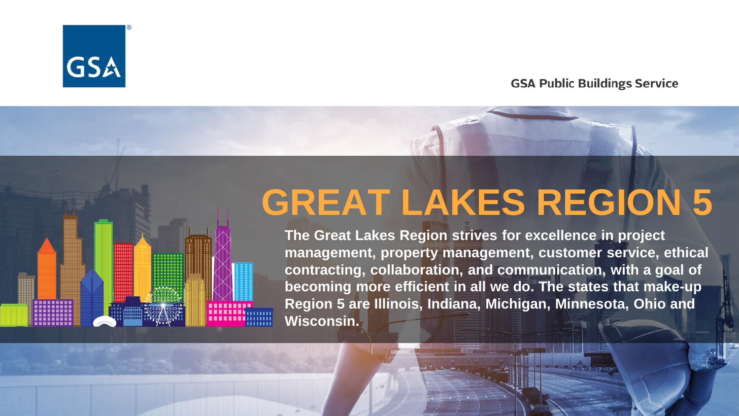

#### **GSA Public Buildings Service**

## **GREAT LAKES REGION 5**

**The Great Lakes Region strives for excellence in project management, property management, customer service, ethical contracting, collaboration, and communication, with a goal of becoming more efficient in all we do. The states that make-up Region 5 are Illinois, Indiana, Michigan, Minnesota, Ohio and Wisconsin.**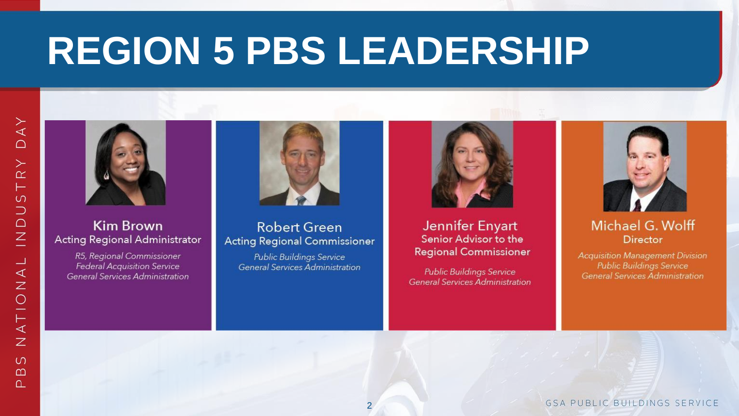# **REGION 5 PBS LEADERSHIP**



#### **Kim Brown** Acting Regional Administrator

R5, Regional Commissioner **Federal Acquisition Service** General Services Administration



#### **Robert Green Acting Regional Commissioner**

**Public Buildings Service** General Services Administration



Jennifer Enyart Senior Advisor to the **Regional Commissioner** 

**Public Buildings Service General Services Administration** 



#### Michael G. Wolff **Director**

**Acquisition Management Division General Services Administration** 

**GSA PUBLIC BUILDINGS SERVICE**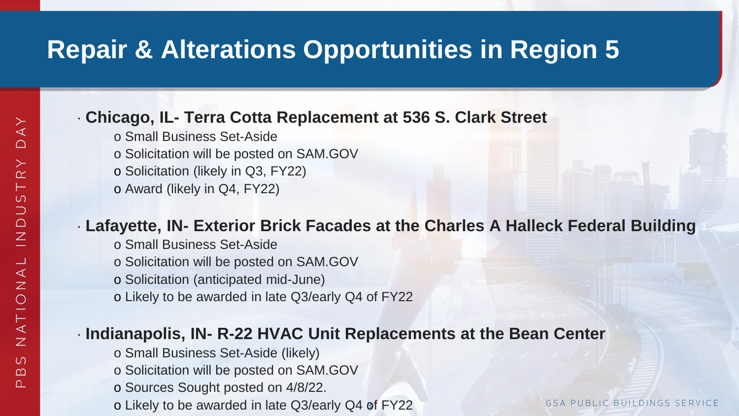## **Repair & Alterations Opportunities in Region 5**

#### · **Chicago, IL- Terra Cotta Replacement at 536 S. Clark Street**

- o Small Business Set-Aside o Solicitation will be posted on SAM.GOV o Solicitation (likely in Q3, FY22)
- o Award (likely in Q4, FY22)

#### · **Lafayette, IN- Exterior Brick Facades at the Charles A Halleck Federal Building**

- o Small Business Set-Aside
- o Solicitation will be posted on SAM.GOV
- o Solicitation (anticipated mid-June)
- o Likely to be awarded in late Q3/early Q4 of FY22

#### · **Indianapolis, IN- R-22 HVAC Unit Replacements at the Bean Center**

- o Small Business Set-Aside (likely)
- o Solicitation will be posted on SAM.GOV
- o Sources Sought posted on 4/8/22.
- o Likely to be awarded in late Q3/early Q4 of FY22

**GSA PUBLIC BUILDINGS SE**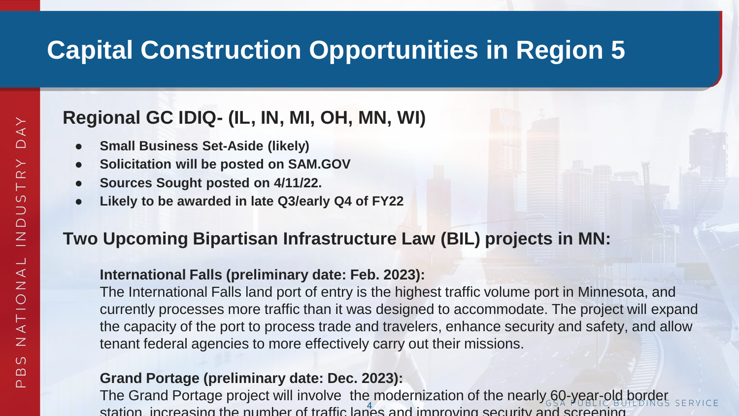## **Capital Construction Opportunities in Region 5**

### **Regional GC IDIQ- (IL, IN, MI, OH, MN, WI)**

- **Small Business Set-Aside (likely)**
- **Solicitation will be posted on SAM.GOV**
- **Sources Sought posted on 4/11/22.**
- Likely to be awarded in late Q3/early Q4 of FY22

#### **Two Upcoming Bipartisan Infrastructure Law (BIL) projects in MN:**

#### **International Falls (preliminary date: Feb. 2023):**

The International Falls land port of entry is the highest traffic volume port in Minnesota, and currently processes more traffic than it was designed to accommodate. The project will expand the capacity of the port to process trade and travelers, enhance security and safety, and allow tenant federal agencies to more effectively carry out their missions.

#### **Grand Portage (preliminary date: Dec. 2023):**

station, increasing the number of traffic lanes and improving security and screening The Grand Portage project will involve the modernization of the nearly 60-year-old border